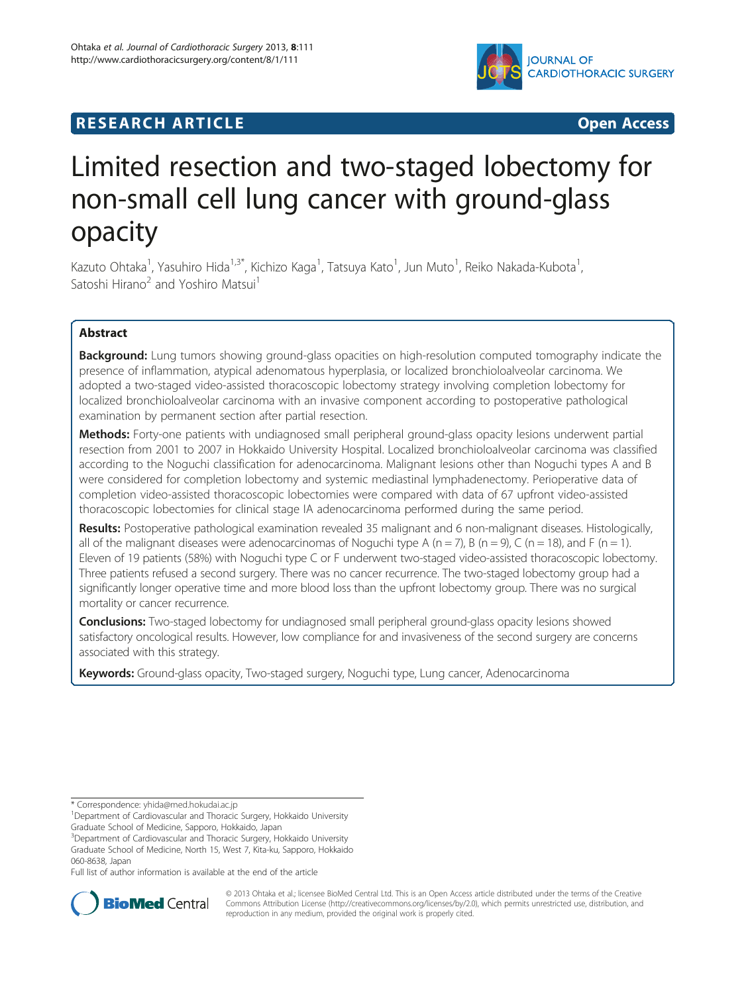

# **RESEARCH ARTICLE CONSUMING A RESEARCH ARTICLE**

# Limited resection and two-staged lobectomy for non-small cell lung cancer with ground-glass opacity

Kazuto Ohtaka<sup>1</sup>, Yasuhiro Hida<sup>1,3\*</sup>, Kichizo Kaga<sup>1</sup>, Tatsuya Kato<sup>1</sup>, Jun Muto<sup>1</sup>, Reiko Nakada-Kubota<sup>1</sup> , Satoshi Hirano<sup>2</sup> and Yoshiro Matsui<sup>1</sup>

# Abstract

Background: Lung tumors showing ground-glass opacities on high-resolution computed tomography indicate the presence of inflammation, atypical adenomatous hyperplasia, or localized bronchioloalveolar carcinoma. We adopted a two-staged video-assisted thoracoscopic lobectomy strategy involving completion lobectomy for localized bronchioloalveolar carcinoma with an invasive component according to postoperative pathological examination by permanent section after partial resection.

Methods: Forty-one patients with undiagnosed small peripheral ground-glass opacity lesions underwent partial resection from 2001 to 2007 in Hokkaido University Hospital. Localized bronchioloalveolar carcinoma was classified according to the Noguchi classification for adenocarcinoma. Malignant lesions other than Noguchi types A and B were considered for completion lobectomy and systemic mediastinal lymphadenectomy. Perioperative data of completion video-assisted thoracoscopic lobectomies were compared with data of 67 upfront video-assisted thoracoscopic lobectomies for clinical stage IA adenocarcinoma performed during the same period.

Results: Postoperative pathological examination revealed 35 malignant and 6 non-malignant diseases. Histologically, all of the malignant diseases were adenocarcinomas of Noguchi type A (n = 7), B (n = 9), C (n = 18), and F (n = 1). Eleven of 19 patients (58%) with Noguchi type C or F underwent two-staged video-assisted thoracoscopic lobectomy. Three patients refused a second surgery. There was no cancer recurrence. The two-staged lobectomy group had a significantly longer operative time and more blood loss than the upfront lobectomy group. There was no surgical mortality or cancer recurrence.

**Conclusions:** Two-staged lobectomy for undiagnosed small peripheral ground-glass opacity lesions showed satisfactory oncological results. However, low compliance for and invasiveness of the second surgery are concerns associated with this strategy.

Keywords: Ground-glass opacity, Two-staged surgery, Noguchi type, Lung cancer, Adenocarcinoma

\* Correspondence: [yhida@med.hokudai.ac.jp](mailto:yhida@med.hokudai.ac.jp) <sup>1</sup>

<sup>1</sup>Department of Cardiovascular and Thoracic Surgery, Hokkaido University

Graduate School of Medicine, Sapporo, Hokkaido, Japan

<sup>3</sup>Department of Cardiovascular and Thoracic Surgery, Hokkaido University

Graduate School of Medicine, North 15, West 7, Kita-ku, Sapporo, Hokkaido 060-8638, Japan

Full list of author information is available at the end of the article



© 2013 Ohtaka et al.; licensee BioMed Central Ltd. This is an Open Access article distributed under the terms of the Creative Commons Attribution License [\(http://creativecommons.org/licenses/by/2.0\)](http://creativecommons.org/licenses/by/2.0), which permits unrestricted use, distribution, and reproduction in any medium, provided the original work is properly cited.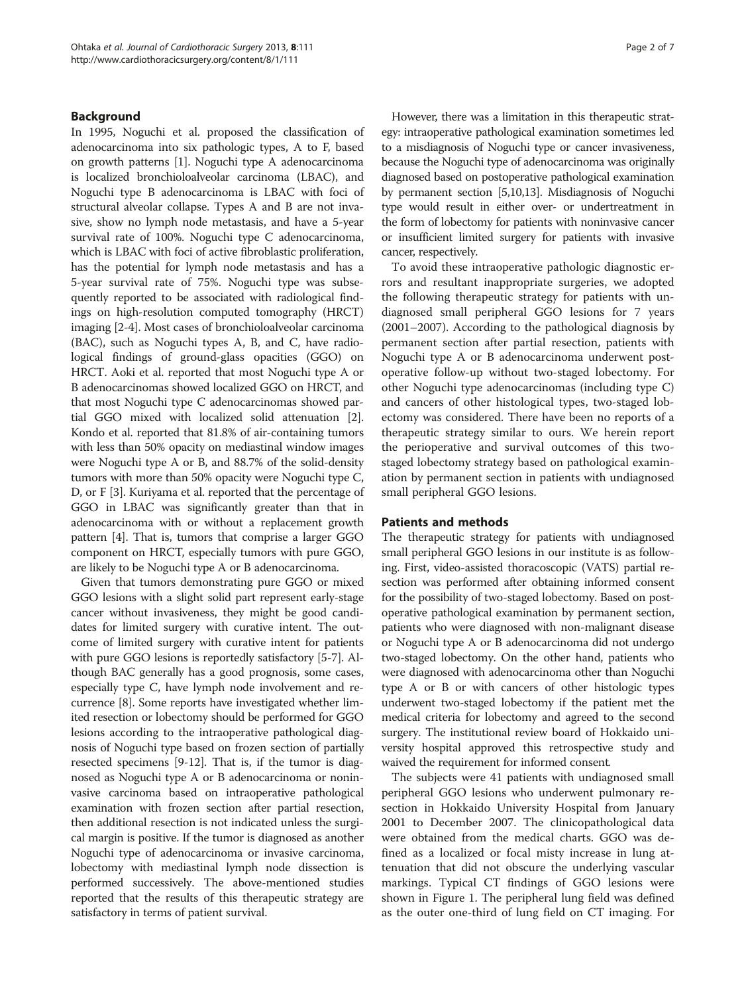## Background

In 1995, Noguchi et al. proposed the classification of adenocarcinoma into six pathologic types, A to F, based on growth patterns [\[1\]](#page-5-0). Noguchi type A adenocarcinoma is localized bronchioloalveolar carcinoma (LBAC), and Noguchi type B adenocarcinoma is LBAC with foci of structural alveolar collapse. Types A and B are not invasive, show no lymph node metastasis, and have a 5-year survival rate of 100%. Noguchi type C adenocarcinoma, which is LBAC with foci of active fibroblastic proliferation, has the potential for lymph node metastasis and has a 5-year survival rate of 75%. Noguchi type was subsequently reported to be associated with radiological findings on high-resolution computed tomography (HRCT) imaging [\[2](#page-5-0)-[4](#page-5-0)]. Most cases of bronchioloalveolar carcinoma (BAC), such as Noguchi types A, B, and C, have radiological findings of ground-glass opacities (GGO) on HRCT. Aoki et al. reported that most Noguchi type A or B adenocarcinomas showed localized GGO on HRCT, and that most Noguchi type C adenocarcinomas showed partial GGO mixed with localized solid attenuation [[2](#page-5-0)]. Kondo et al. reported that 81.8% of air-containing tumors with less than 50% opacity on mediastinal window images were Noguchi type A or B, and 88.7% of the solid-density tumors with more than 50% opacity were Noguchi type C, D, or F [\[3](#page-5-0)]. Kuriyama et al. reported that the percentage of GGO in LBAC was significantly greater than that in adenocarcinoma with or without a replacement growth pattern [\[4](#page-5-0)]. That is, tumors that comprise a larger GGO component on HRCT, especially tumors with pure GGO, are likely to be Noguchi type A or B adenocarcinoma.

Given that tumors demonstrating pure GGO or mixed GGO lesions with a slight solid part represent early-stage cancer without invasiveness, they might be good candidates for limited surgery with curative intent. The outcome of limited surgery with curative intent for patients with pure GGO lesions is reportedly satisfactory [\[5](#page-5-0)-[7\]](#page-5-0). Although BAC generally has a good prognosis, some cases, especially type C, have lymph node involvement and recurrence [[8](#page-5-0)]. Some reports have investigated whether limited resection or lobectomy should be performed for GGO lesions according to the intraoperative pathological diagnosis of Noguchi type based on frozen section of partially resected specimens [\[9](#page-5-0)[-12](#page-6-0)]. That is, if the tumor is diagnosed as Noguchi type A or B adenocarcinoma or noninvasive carcinoma based on intraoperative pathological examination with frozen section after partial resection, then additional resection is not indicated unless the surgical margin is positive. If the tumor is diagnosed as another Noguchi type of adenocarcinoma or invasive carcinoma, lobectomy with mediastinal lymph node dissection is performed successively. The above-mentioned studies reported that the results of this therapeutic strategy are satisfactory in terms of patient survival.

However, there was a limitation in this therapeutic strategy: intraoperative pathological examination sometimes led to a misdiagnosis of Noguchi type or cancer invasiveness, because the Noguchi type of adenocarcinoma was originally diagnosed based on postoperative pathological examination by permanent section [[5,10,](#page-5-0)[13](#page-6-0)]. Misdiagnosis of Noguchi type would result in either over- or undertreatment in the form of lobectomy for patients with noninvasive cancer or insufficient limited surgery for patients with invasive cancer, respectively.

To avoid these intraoperative pathologic diagnostic errors and resultant inappropriate surgeries, we adopted the following therapeutic strategy for patients with undiagnosed small peripheral GGO lesions for 7 years (2001–2007). According to the pathological diagnosis by permanent section after partial resection, patients with Noguchi type A or B adenocarcinoma underwent postoperative follow-up without two-staged lobectomy. For other Noguchi type adenocarcinomas (including type C) and cancers of other histological types, two-staged lobectomy was considered. There have been no reports of a therapeutic strategy similar to ours. We herein report the perioperative and survival outcomes of this twostaged lobectomy strategy based on pathological examination by permanent section in patients with undiagnosed small peripheral GGO lesions.

#### Patients and methods

The therapeutic strategy for patients with undiagnosed small peripheral GGO lesions in our institute is as following. First, video-assisted thoracoscopic (VATS) partial resection was performed after obtaining informed consent for the possibility of two-staged lobectomy. Based on postoperative pathological examination by permanent section, patients who were diagnosed with non-malignant disease or Noguchi type A or B adenocarcinoma did not undergo two-staged lobectomy. On the other hand, patients who were diagnosed with adenocarcinoma other than Noguchi type A or B or with cancers of other histologic types underwent two-staged lobectomy if the patient met the medical criteria for lobectomy and agreed to the second surgery. The institutional review board of Hokkaido university hospital approved this retrospective study and waived the requirement for informed consent.

The subjects were 41 patients with undiagnosed small peripheral GGO lesions who underwent pulmonary resection in Hokkaido University Hospital from January 2001 to December 2007. The clinicopathological data were obtained from the medical charts. GGO was defined as a localized or focal misty increase in lung attenuation that did not obscure the underlying vascular markings. Typical CT findings of GGO lesions were shown in Figure [1](#page-2-0). The peripheral lung field was defined as the outer one-third of lung field on CT imaging. For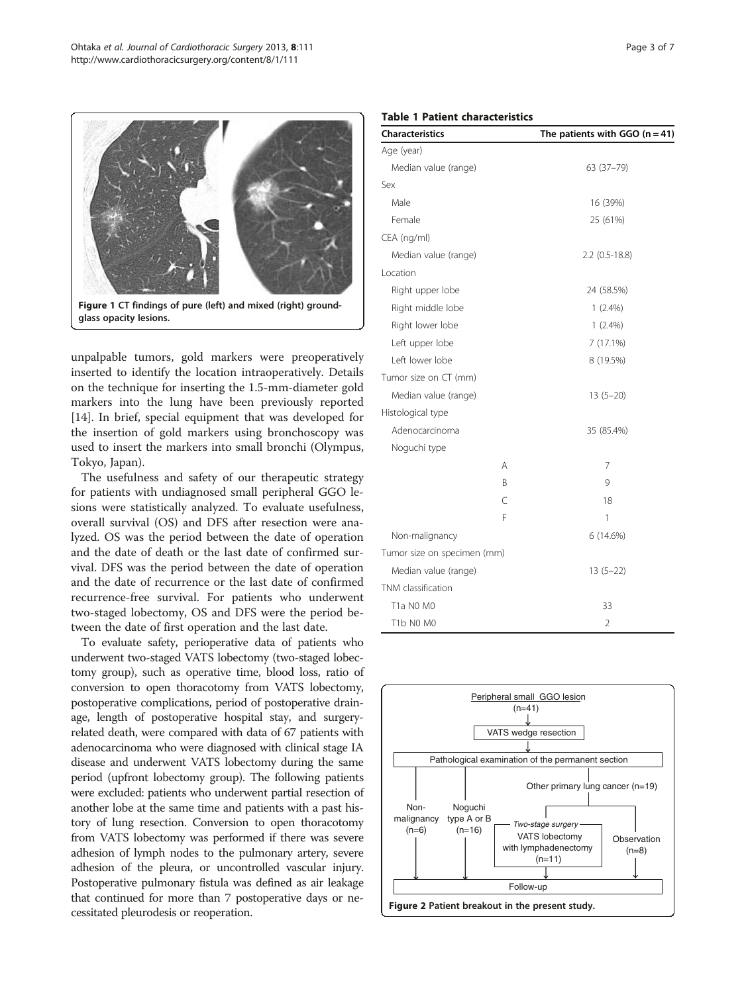<span id="page-2-0"></span>

Figure 1 CT findings of pure (left) and mixed (right) groundglass opacity lesions.

unpalpable tumors, gold markers were preoperatively inserted to identify the location intraoperatively. Details on the technique for inserting the 1.5-mm-diameter gold markers into the lung have been previously reported [[14\]](#page-6-0). In brief, special equipment that was developed for the insertion of gold markers using bronchoscopy was used to insert the markers into small bronchi (Olympus, Tokyo, Japan).

The usefulness and safety of our therapeutic strategy for patients with undiagnosed small peripheral GGO lesions were statistically analyzed. To evaluate usefulness, overall survival (OS) and DFS after resection were analyzed. OS was the period between the date of operation and the date of death or the last date of confirmed survival. DFS was the period between the date of operation and the date of recurrence or the last date of confirmed recurrence-free survival. For patients who underwent two-staged lobectomy, OS and DFS were the period between the date of first operation and the last date.

To evaluate safety, perioperative data of patients who underwent two-staged VATS lobectomy (two-staged lobectomy group), such as operative time, blood loss, ratio of conversion to open thoracotomy from VATS lobectomy, postoperative complications, period of postoperative drainage, length of postoperative hospital stay, and surgeryrelated death, were compared with data of 67 patients with adenocarcinoma who were diagnosed with clinical stage IA disease and underwent VATS lobectomy during the same period (upfront lobectomy group). The following patients were excluded: patients who underwent partial resection of another lobe at the same time and patients with a past history of lung resection. Conversion to open thoracotomy from VATS lobectomy was performed if there was severe adhesion of lymph nodes to the pulmonary artery, severe adhesion of the pleura, or uncontrolled vascular injury. Postoperative pulmonary fistula was defined as air leakage that continued for more than 7 postoperative days or necessitated pleurodesis or reoperation.

# Table 1 Patient characteristics

| <b>Characteristics</b>      | The patients with GGO $(n = 41)$ |
|-----------------------------|----------------------------------|
| Age (year)                  |                                  |
| Median value (range)        | 63 (37-79)                       |
| Sex                         |                                  |
| Male                        | 16 (39%)                         |
| Female                      | 25 (61%)                         |
| CEA (ng/ml)                 |                                  |
| Median value (range)        | $2.2$ (0.5-18.8)                 |
| Location                    |                                  |
| Right upper lobe            | 24 (58.5%)                       |
| Right middle lobe           | $1(2.4\%)$                       |
| Right lower lobe            | $1(2.4\%)$                       |
| Left upper lobe             | 7 (17.1%)                        |
| Left lower lobe             | 8 (19.5%)                        |
| Tumor size on CT (mm)       |                                  |
| Median value (range)        | $13(5-20)$                       |
| Histological type           |                                  |
| Adenocarcinoma              | 35 (85.4%)                       |
| Noguchi type                |                                  |
| Α                           | 7                                |
| B                           | 9                                |
| C                           | 18                               |
| F                           | 1                                |
| Non-malignancy              | 6 (14.6%)                        |
| Tumor size on specimen (mm) |                                  |
| Median value (range)        | $13(5-22)$                       |
| TNM classification          |                                  |
| T1a N0 M0                   | 33                               |
| T1b N0 M0                   | $\overline{2}$                   |

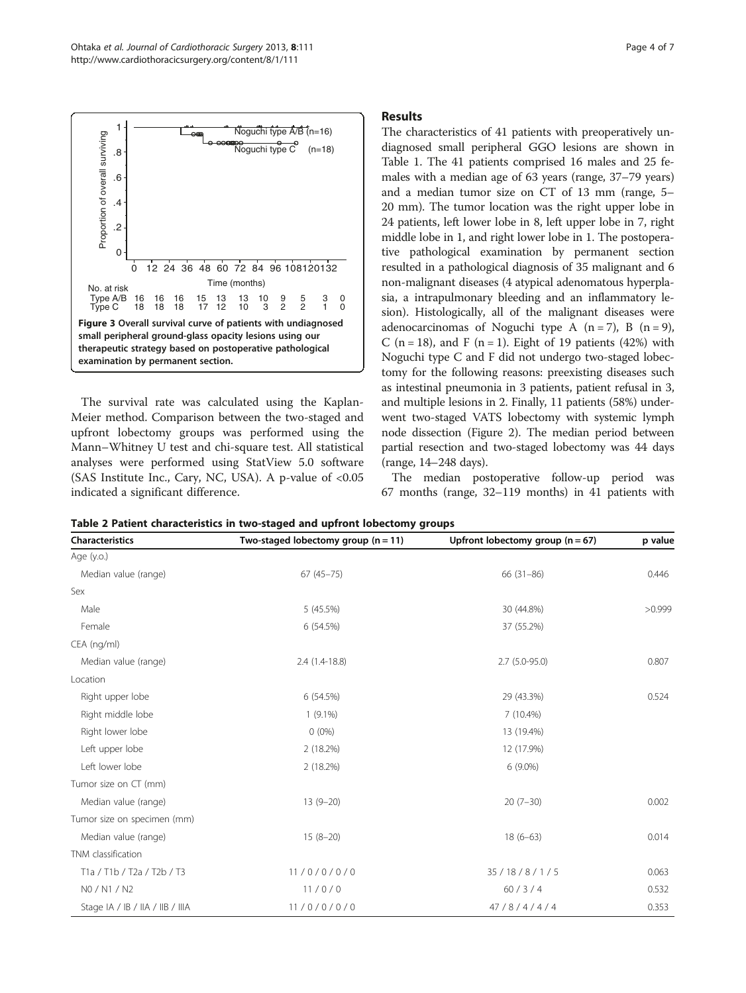

<span id="page-3-0"></span>

The survival rate was calculated using the Kaplan-Meier method. Comparison between the two-staged and upfront lobectomy groups was performed using the Mann–Whitney U test and chi-square test. All statistical analyses were performed using StatView 5.0 software (SAS Institute Inc., Cary, NC, USA). A p-value of <0.05 indicated a significant difference.

# Results

The characteristics of 41 patients with preoperatively undiagnosed small peripheral GGO lesions are shown in Table [1](#page-2-0). The 41 patients comprised 16 males and 25 females with a median age of 63 years (range, 37–79 years) and a median tumor size on CT of 13 mm (range, 5– 20 mm). The tumor location was the right upper lobe in 24 patients, left lower lobe in 8, left upper lobe in 7, right middle lobe in 1, and right lower lobe in 1. The postoperative pathological examination by permanent section resulted in a pathological diagnosis of 35 malignant and 6 non-malignant diseases (4 atypical adenomatous hyperplasia, a intrapulmonary bleeding and an inflammatory lesion). Histologically, all of the malignant diseases were adenocarcinomas of Noguchi type A  $(n = 7)$ , B  $(n = 9)$ , C (n = 18), and F (n = 1). Eight of 19 patients (42%) with Noguchi type C and F did not undergo two-staged lobectomy for the following reasons: preexisting diseases such as intestinal pneumonia in 3 patients, patient refusal in 3, and multiple lesions in 2. Finally, 11 patients (58%) underwent two-staged VATS lobectomy with systemic lymph node dissection (Figure [2\)](#page-2-0). The median period between partial resection and two-staged lobectomy was 44 days (range, 14–248 days).

The median postoperative follow-up period was 67 months (range, 32–119 months) in 41 patients with

Table 2 Patient characteristics in two-staged and upfront lobectomy groups

| <b>Characteristics</b>           | Two-staged lobectomy group $(n = 11)$ | Upfront lobectomy group ( $n = 67$ ) | p value |
|----------------------------------|---------------------------------------|--------------------------------------|---------|
| Age (y.o.)                       |                                       |                                      |         |
| Median value (range)             | $67(45 - 75)$                         | 66 (31-86)                           | 0.446   |
| Sex                              |                                       |                                      |         |
| Male                             | 5 (45.5%)                             | 30 (44.8%)                           | >0.999  |
| Female                           | 6 (54.5%)                             | 37 (55.2%)                           |         |
| CEA (ng/ml)                      |                                       |                                      |         |
| Median value (range)             | 2.4 (1.4-18.8)                        | $2.7(5.0-95.0)$                      | 0.807   |
| Location                         |                                       |                                      |         |
| Right upper lobe                 | 6 (54.5%)                             | 29 (43.3%)                           | 0.524   |
| Right middle lobe                | $1(9.1\%)$                            | $7(10.4\%)$                          |         |
| Right lower lobe                 | $0(0\%)$                              | 13 (19.4%)                           |         |
| Left upper lobe                  | 2 (18.2%)                             | 12 (17.9%)                           |         |
| Left lower lobe                  | 2 (18.2%)                             | $6(9.0\%)$                           |         |
| Tumor size on CT (mm)            |                                       |                                      |         |
| Median value (range)             | $13(9-20)$                            | $20(7-30)$                           | 0.002   |
| Tumor size on specimen (mm)      |                                       |                                      |         |
| Median value (range)             | $15(8-20)$                            | $18(6-63)$                           | 0.014   |
| TNM classification               |                                       |                                      |         |
| T1a / T1b / T2a / T2b / T3       | 11/0/0/0/0                            | 35/18/8/1/5                          | 0.063   |
| NO / N1 / N2                     | 11/0/0                                | 60/3/4                               | 0.532   |
| Stage IA / IB / IIA / IIB / IIIA | 11/0/0/0/0                            | 47/8/4/4/4                           | 0.353   |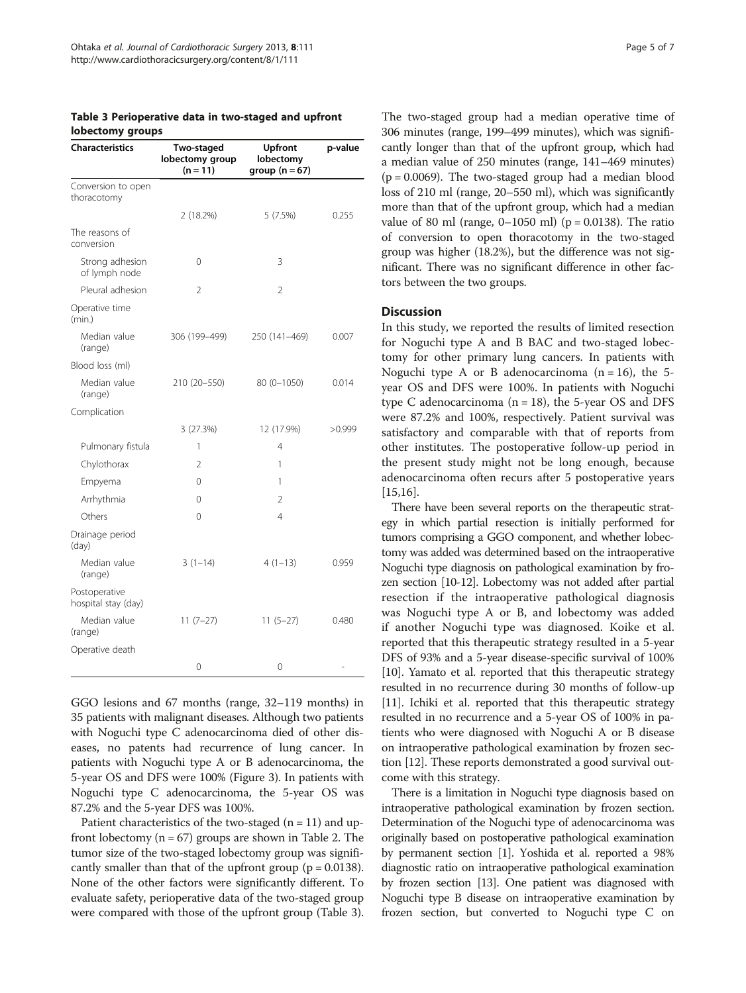|                  | Table 3 Perioperative data in two-staged and upfront |  |  |
|------------------|------------------------------------------------------|--|--|
| lobectomy groups |                                                      |  |  |

| <b>Characteristics</b>               | Two-staged<br>lobectomy group<br>$(n = 11)$ | Upfront<br>lobectomy<br>group $(n = 67)$ | p-value |
|--------------------------------------|---------------------------------------------|------------------------------------------|---------|
| Conversion to open<br>thoracotomy    |                                             |                                          |         |
|                                      | 2(18.2%)                                    | 5(7.5%)                                  | 0.255   |
| The reasons of<br>conversion         |                                             |                                          |         |
| Strong adhesion<br>of lymph node     | 0                                           | 3                                        |         |
| Pleural adhesion                     | 2                                           | 2                                        |         |
| Operative time<br>(min.)             |                                             |                                          |         |
| Median value<br>(range)              | 306 (199–499)                               | 250 (141–469)                            | 0.007   |
| Blood loss (ml)                      |                                             |                                          |         |
| Median value<br>(range)              | 210 (20-550)                                | 80 (0-1050)                              | 0.014   |
| Complication                         |                                             |                                          |         |
|                                      | 3 (27.3%)                                   | 12 (17.9%)                               | >0.999  |
| Pulmonary fistula                    | 1                                           | 4                                        |         |
| Chylothorax                          | 2                                           | 1                                        |         |
| Empyema                              | $\Omega$                                    | 1                                        |         |
| Arrhythmia                           | $\Omega$                                    | 2                                        |         |
| Others                               | $\Omega$                                    | 4                                        |         |
| Drainage period<br>(day)             |                                             |                                          |         |
| Median value<br>(range)              | $3(1-14)$                                   | $4(1-13)$                                | 0.959   |
| Postoperative<br>hospital stay (day) |                                             |                                          |         |
| Median value<br>(range)              | $11(7-27)$                                  | $11(5-27)$                               | 0.480   |
| Operative death                      |                                             |                                          |         |
|                                      | 0                                           | 0                                        |         |

GGO lesions and 67 months (range, 32–119 months) in 35 patients with malignant diseases. Although two patients with Noguchi type C adenocarcinoma died of other diseases, no patents had recurrence of lung cancer. In patients with Noguchi type A or B adenocarcinoma, the 5-year OS and DFS were 100% (Figure [3](#page-3-0)). In patients with Noguchi type C adenocarcinoma, the 5-year OS was 87.2% and the 5-year DFS was 100%.

Patient characteristics of the two-staged  $(n = 11)$  and upfront lobectomy ( $n = 67$ ) groups are shown in Table [2.](#page-3-0) The tumor size of the two-staged lobectomy group was significantly smaller than that of the upfront group ( $p = 0.0138$ ). None of the other factors were significantly different. To evaluate safety, perioperative data of the two-staged group were compared with those of the upfront group (Table 3).

The two-staged group had a median operative time of 306 minutes (range, 199–499 minutes), which was significantly longer than that of the upfront group, which had a median value of 250 minutes (range, 141–469 minutes)  $(p = 0.0069)$ . The two-staged group had a median blood loss of 210 ml (range, 20–550 ml), which was significantly more than that of the upfront group, which had a median value of 80 ml (range,  $0-1050$  ml) ( $p = 0.0138$ ). The ratio of conversion to open thoracotomy in the two-staged group was higher (18.2%), but the difference was not significant. There was no significant difference in other factors between the two groups.

# **Discussion**

In this study, we reported the results of limited resection for Noguchi type A and B BAC and two-staged lobectomy for other primary lung cancers. In patients with Noguchi type A or B adenocarcinoma ( $n = 16$ ), the 5year OS and DFS were 100%. In patients with Noguchi type C adenocarcinoma ( $n = 18$ ), the 5-year OS and DFS were 87.2% and 100%, respectively. Patient survival was satisfactory and comparable with that of reports from other institutes. The postoperative follow-up period in the present study might not be long enough, because adenocarcinoma often recurs after 5 postoperative years [[15,16\]](#page-6-0).

There have been several reports on the therapeutic strategy in which partial resection is initially performed for tumors comprising a GGO component, and whether lobectomy was added was determined based on the intraoperative Noguchi type diagnosis on pathological examination by frozen section [\[10-](#page-5-0)[12](#page-6-0)]. Lobectomy was not added after partial resection if the intraoperative pathological diagnosis was Noguchi type A or B, and lobectomy was added if another Noguchi type was diagnosed. Koike et al. reported that this therapeutic strategy resulted in a 5-year DFS of 93% and a 5-year disease-specific survival of 100% [[10](#page-5-0)]. Yamato et al. reported that this therapeutic strategy resulted in no recurrence during 30 months of follow-up [[11](#page-5-0)]. Ichiki et al. reported that this therapeutic strategy resulted in no recurrence and a 5-year OS of 100% in patients who were diagnosed with Noguchi A or B disease on intraoperative pathological examination by frozen section [\[12\]](#page-6-0). These reports demonstrated a good survival outcome with this strategy.

There is a limitation in Noguchi type diagnosis based on intraoperative pathological examination by frozen section. Determination of the Noguchi type of adenocarcinoma was originally based on postoperative pathological examination by permanent section [[1\]](#page-5-0). Yoshida et al. reported a 98% diagnostic ratio on intraoperative pathological examination by frozen section [\[13\]](#page-6-0). One patient was diagnosed with Noguchi type B disease on intraoperative examination by frozen section, but converted to Noguchi type C on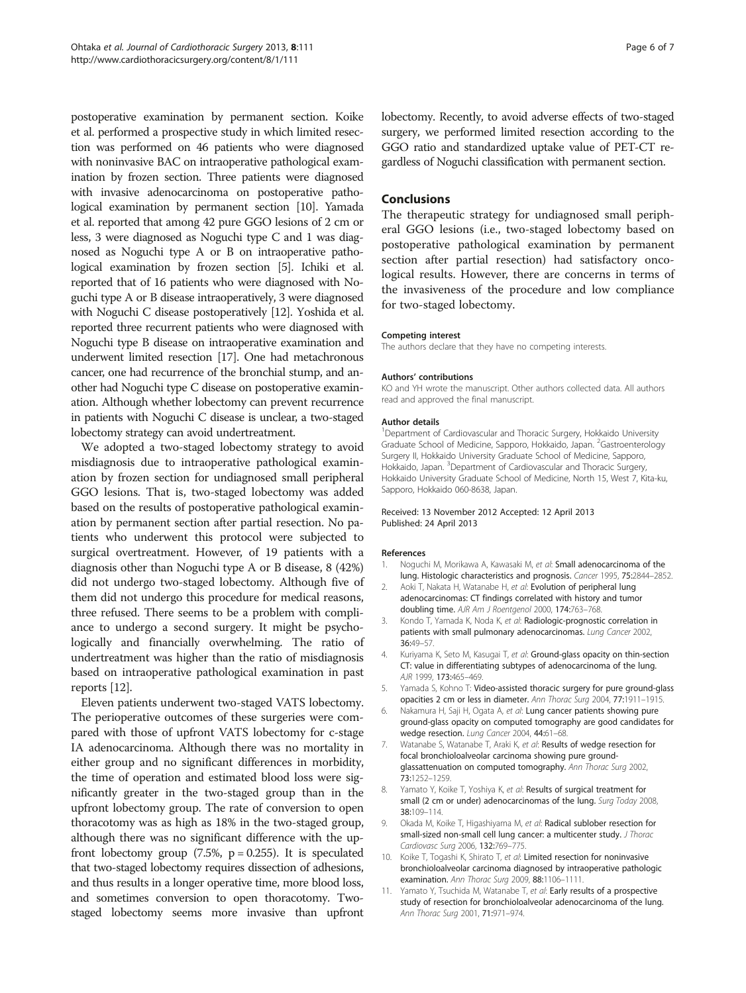<span id="page-5-0"></span>postoperative examination by permanent section. Koike et al. performed a prospective study in which limited resection was performed on 46 patients who were diagnosed with noninvasive BAC on intraoperative pathological examination by frozen section. Three patients were diagnosed with invasive adenocarcinoma on postoperative pathological examination by permanent section [10]. Yamada et al. reported that among 42 pure GGO lesions of 2 cm or less, 3 were diagnosed as Noguchi type C and 1 was diagnosed as Noguchi type A or B on intraoperative pathological examination by frozen section [5]. Ichiki et al. reported that of 16 patients who were diagnosed with Noguchi type A or B disease intraoperatively, 3 were diagnosed with Noguchi C disease postoperatively [\[12\]](#page-6-0). Yoshida et al. reported three recurrent patients who were diagnosed with Noguchi type B disease on intraoperative examination and underwent limited resection [[17](#page-6-0)]. One had metachronous cancer, one had recurrence of the bronchial stump, and another had Noguchi type C disease on postoperative examination. Although whether lobectomy can prevent recurrence in patients with Noguchi C disease is unclear, a two-staged lobectomy strategy can avoid undertreatment.

We adopted a two-staged lobectomy strategy to avoid misdiagnosis due to intraoperative pathological examination by frozen section for undiagnosed small peripheral GGO lesions. That is, two-staged lobectomy was added based on the results of postoperative pathological examination by permanent section after partial resection. No patients who underwent this protocol were subjected to surgical overtreatment. However, of 19 patients with a diagnosis other than Noguchi type A or B disease, 8 (42%) did not undergo two-staged lobectomy. Although five of them did not undergo this procedure for medical reasons, three refused. There seems to be a problem with compliance to undergo a second surgery. It might be psychologically and financially overwhelming. The ratio of undertreatment was higher than the ratio of misdiagnosis based on intraoperative pathological examination in past reports [[12](#page-6-0)].

Eleven patients underwent two-staged VATS lobectomy. The perioperative outcomes of these surgeries were compared with those of upfront VATS lobectomy for c-stage IA adenocarcinoma. Although there was no mortality in either group and no significant differences in morbidity, the time of operation and estimated blood loss were significantly greater in the two-staged group than in the upfront lobectomy group. The rate of conversion to open thoracotomy was as high as 18% in the two-staged group, although there was no significant difference with the upfront lobectomy group  $(7.5\% , p = 0.255)$ . It is speculated that two-staged lobectomy requires dissection of adhesions, and thus results in a longer operative time, more blood loss, and sometimes conversion to open thoracotomy. Twostaged lobectomy seems more invasive than upfront lobectomy. Recently, to avoid adverse effects of two-staged surgery, we performed limited resection according to the GGO ratio and standardized uptake value of PET-CT regardless of Noguchi classification with permanent section.

# Conclusions

The therapeutic strategy for undiagnosed small peripheral GGO lesions (i.e., two-staged lobectomy based on postoperative pathological examination by permanent section after partial resection) had satisfactory oncological results. However, there are concerns in terms of the invasiveness of the procedure and low compliance for two-staged lobectomy.

#### Competing interest

The authors declare that they have no competing interests.

#### Authors' contributions

KO and YH wrote the manuscript. Other authors collected data. All authors read and approved the final manuscript.

#### Author details

<sup>1</sup>Department of Cardiovascular and Thoracic Surgery, Hokkaido University Graduate School of Medicine, Sapporo, Hokkaido, Japan. <sup>2</sup>Gastroenterology Surgery II, Hokkaido University Graduate School of Medicine, Sapporo, Hokkaido, Japan. <sup>3</sup>Department of Cardiovascular and Thoracic Surgery, Hokkaido University Graduate School of Medicine, North 15, West 7, Kita-ku, Sapporo, Hokkaido 060-8638, Japan.

#### Received: 13 November 2012 Accepted: 12 April 2013 Published: 24 April 2013

#### References

- 1. Noguchi M, Morikawa A, Kawasaki M, et al: Small adenocarcinoma of the lung. Histologic characteristics and prognosis. Cancer 1995, 75:2844–2852.
- 2. Aoki T, Nakata H, Watanabe H, et al: Evolution of peripheral lung adenocarcinomas: CT findings correlated with history and tumor doubling time. AJR Am J Roentgenol 2000, 174:763-768.
- 3. Kondo T, Yamada K, Noda K, et al: Radiologic-prognostic correlation in patients with small pulmonary adenocarcinomas. Lung Cancer 2002, 36:49–57.
- 4. Kuriyama K, Seto M, Kasugai T, et al: Ground-glass opacity on thin-section CT: value in differentiating subtypes of adenocarcinoma of the lung. AJR 1999, 173:465–469.
- 5. Yamada S, Kohno T: Video-assisted thoracic surgery for pure ground-glass opacities 2 cm or less in diameter. Ann Thorac Surg 2004, 77:1911–1915.
- 6. Nakamura H, Saji H, Ogata A, et al: Lung cancer patients showing pure ground-glass opacity on computed tomography are good candidates for wedge resection. Lung Cancer 2004, 44:61-68.
- 7. Watanabe S, Watanabe T, Araki K, et al: Results of wedge resection for focal bronchioloalveolar carcinoma showing pure groundglassattenuation on computed tomography. Ann Thorac Surg 2002, 73:1252–1259.
- 8. Yamato Y, Koike T, Yoshiya K, et al: Results of surgical treatment for small (2 cm or under) adenocarcinomas of the lung. Surg Today 2008, 38:109–114.
- Okada M, Koike T, Higashiyama M, et al: Radical sublober resection for small-sized non-small cell lung cancer: a multicenter study. J Thorac Cardiovasc Surg 2006, 132:769–775.
- 10. Koike T, Togashi K, Shirato T, et al: Limited resection for noninvasive bronchioloalveolar carcinoma diagnosed by intraoperative pathologic examination. Ann Thorac Surg 2009, 88:1106–1111.
- 11. Yamato Y, Tsuchida M, Watanabe T, et al: Early results of a prospective study of resection for bronchioloalveolar adenocarcinoma of the lung. Ann Thorac Surg 2001, 71:971–974.